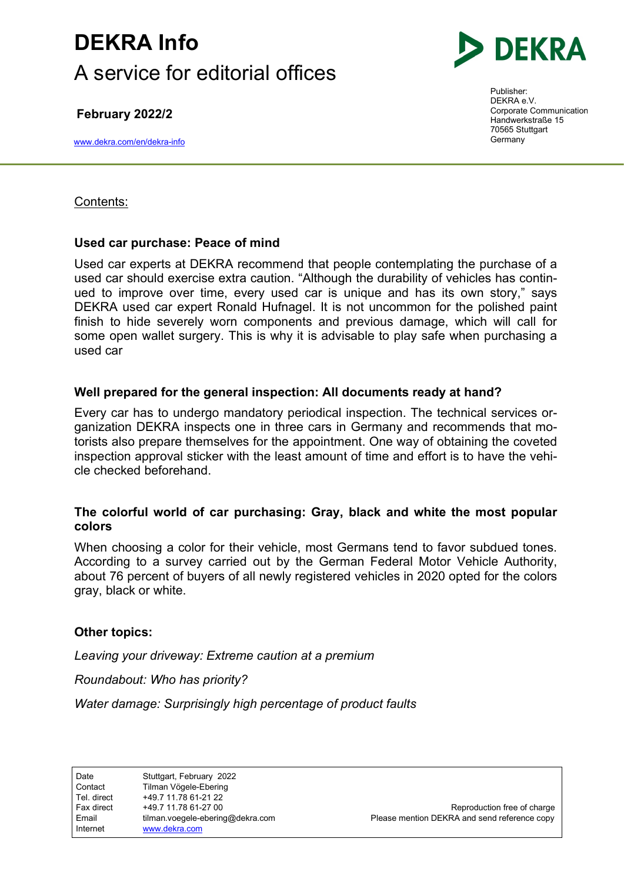# DEKRA Info A service for editorial offices

February 2022/2

www.dekra.com/en/dekra-info



Publisher: DEKRA e.V. Corporate Communication Handwerkstraße 15 70565 Stuttgart Germany

### Contents:

## Used car purchase: Peace of mind

Used car experts at DEKRA recommend that people contemplating the purchase of a used car should exercise extra caution. "Although the durability of vehicles has continued to improve over time, every used car is unique and has its own story," says DEKRA used car expert Ronald Hufnagel. It is not uncommon for the polished paint finish to hide severely worn components and previous damage, which will call for some open wallet surgery. This is why it is advisable to play safe when purchasing a used car

## Well prepared for the general inspection: All documents ready at hand?

Every car has to undergo mandatory periodical inspection. The technical services organization DEKRA inspects one in three cars in Germany and recommends that motorists also prepare themselves for the appointment. One way of obtaining the coveted inspection approval sticker with the least amount of time and effort is to have the vehicle checked beforehand.

#### The colorful world of car purchasing: Gray, black and white the most popular colors

When choosing a color for their vehicle, most Germans tend to favor subdued tones. According to a survey carried out by the German Federal Motor Vehicle Authority, about 76 percent of buyers of all newly registered vehicles in 2020 opted for the colors gray, black or white.

## Other topics:

Leaving your driveway: Extreme caution at a premium

Roundabout: Who has priority?

Water damage: Surprisingly high percentage of product faults

| tilman.voegele-ebering@dekra.co<br>Email<br>www.dekra.com<br>Internet | Tel. direct<br>Fax direct | +49.7 11.78 61-21 22<br>+49 7 11 78 61-27 00 |
|-----------------------------------------------------------------------|---------------------------|----------------------------------------------|
|-----------------------------------------------------------------------|---------------------------|----------------------------------------------|

Reproduction free of charge email times of the Please mention DEKRA and send reference copy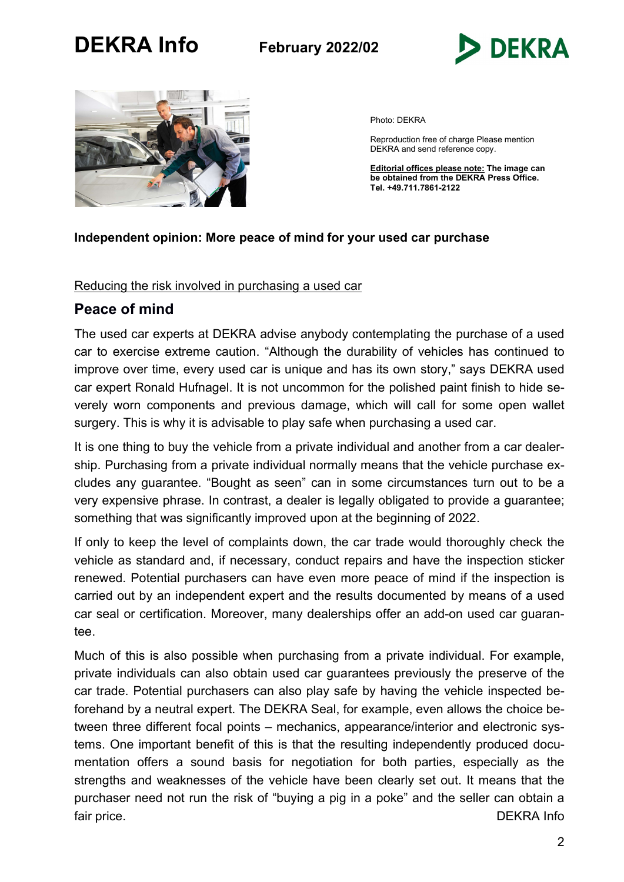



Photo: DEKRA

Reproduction free of charge Please mention DEKRA and send reference copy.

Editorial offices please note: The image can be obtained from the DEKRA Press Office. Tel. +49.711.7861-2122

#### Independent opinion: More peace of mind for your used car purchase

#### Reducing the risk involved in purchasing a used car

## Peace of mind

The used car experts at DEKRA advise anybody contemplating the purchase of a used car to exercise extreme caution. "Although the durability of vehicles has continued to improve over time, every used car is unique and has its own story," says DEKRA used car expert Ronald Hufnagel. It is not uncommon for the polished paint finish to hide severely worn components and previous damage, which will call for some open wallet surgery. This is why it is advisable to play safe when purchasing a used car.

It is one thing to buy the vehicle from a private individual and another from a car dealership. Purchasing from a private individual normally means that the vehicle purchase excludes any guarantee. "Bought as seen" can in some circumstances turn out to be a very expensive phrase. In contrast, a dealer is legally obligated to provide a guarantee; something that was significantly improved upon at the beginning of 2022.

If only to keep the level of complaints down, the car trade would thoroughly check the vehicle as standard and, if necessary, conduct repairs and have the inspection sticker renewed. Potential purchasers can have even more peace of mind if the inspection is carried out by an independent expert and the results documented by means of a used car seal or certification. Moreover, many dealerships offer an add-on used car guarantee.

Much of this is also possible when purchasing from a private individual. For example, private individuals can also obtain used car guarantees previously the preserve of the car trade. Potential purchasers can also play safe by having the vehicle inspected beforehand by a neutral expert. The DEKRA Seal, for example, even allows the choice between three different focal points – mechanics, appearance/interior and electronic systems. One important benefit of this is that the resulting independently produced documentation offers a sound basis for negotiation for both parties, especially as the strengths and weaknesses of the vehicle have been clearly set out. It means that the purchaser need not run the risk of "buying a pig in a poke" and the seller can obtain a fair price. DEKRA Info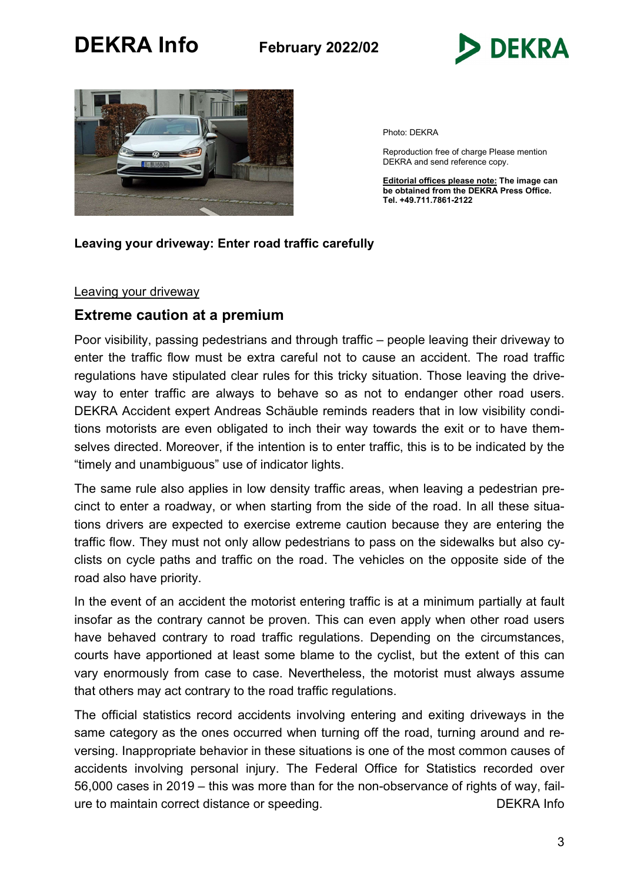



Photo: DEKRA

Reproduction free of charge Please mention DEKRA and send reference copy.

Editorial offices please note: The image can be obtained from the DEKRA Press Office. Tel. +49.711.7861-2122

### Leaving your driveway: Enter road traffic carefully

#### Leaving your driveway

## Extreme caution at a premium

Poor visibility, passing pedestrians and through traffic – people leaving their driveway to enter the traffic flow must be extra careful not to cause an accident. The road traffic regulations have stipulated clear rules for this tricky situation. Those leaving the driveway to enter traffic are always to behave so as not to endanger other road users. DEKRA Accident expert Andreas Schäuble reminds readers that in low visibility conditions motorists are even obligated to inch their way towards the exit or to have themselves directed. Moreover, if the intention is to enter traffic, this is to be indicated by the "timely and unambiguous" use of indicator lights.

The same rule also applies in low density traffic areas, when leaving a pedestrian precinct to enter a roadway, or when starting from the side of the road. In all these situations drivers are expected to exercise extreme caution because they are entering the traffic flow. They must not only allow pedestrians to pass on the sidewalks but also cyclists on cycle paths and traffic on the road. The vehicles on the opposite side of the road also have priority.

In the event of an accident the motorist entering traffic is at a minimum partially at fault insofar as the contrary cannot be proven. This can even apply when other road users have behaved contrary to road traffic regulations. Depending on the circumstances, courts have apportioned at least some blame to the cyclist, but the extent of this can vary enormously from case to case. Nevertheless, the motorist must always assume that others may act contrary to the road traffic regulations.

The official statistics record accidents involving entering and exiting driveways in the same category as the ones occurred when turning off the road, turning around and reversing. Inappropriate behavior in these situations is one of the most common causes of accidents involving personal injury. The Federal Office for Statistics recorded over 56,000 cases in 2019 – this was more than for the non-observance of rights of way, failure to maintain correct distance or speeding. The maintain of DEKRA Info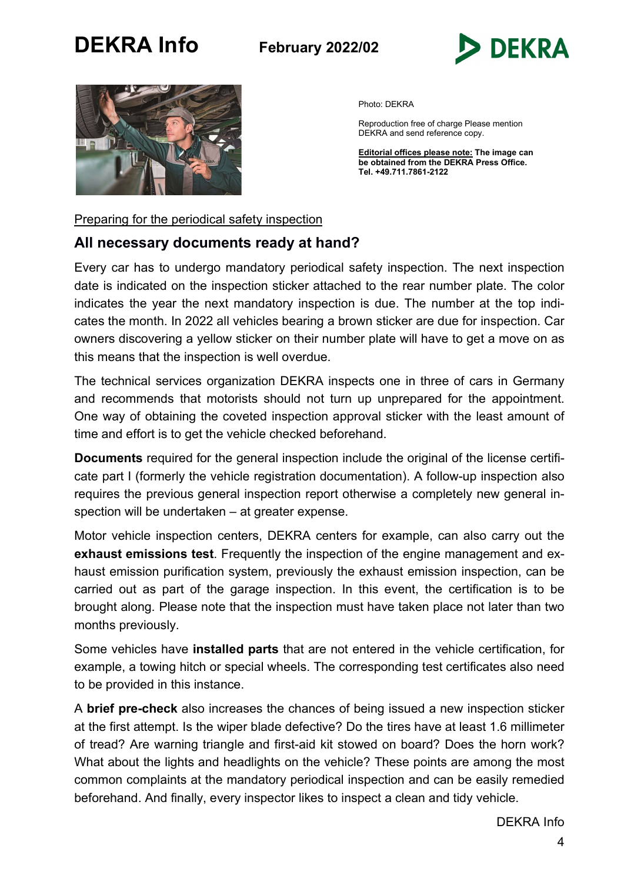



Photo: DEKRA

Reproduction free of charge Please mention DEKRA and send reference copy.

Editorial offices please note: The image can be obtained from the DEKRA Press Office. Tel. +49.711.7861-2122

Preparing for the periodical safety inspection

# All necessary documents ready at hand?

Every car has to undergo mandatory periodical safety inspection. The next inspection date is indicated on the inspection sticker attached to the rear number plate. The color indicates the year the next mandatory inspection is due. The number at the top indicates the month. In 2022 all vehicles bearing a brown sticker are due for inspection. Car owners discovering a yellow sticker on their number plate will have to get a move on as this means that the inspection is well overdue.

The technical services organization DEKRA inspects one in three of cars in Germany and recommends that motorists should not turn up unprepared for the appointment. One way of obtaining the coveted inspection approval sticker with the least amount of time and effort is to get the vehicle checked beforehand.

Documents required for the general inspection include the original of the license certificate part I (formerly the vehicle registration documentation). A follow-up inspection also requires the previous general inspection report otherwise a completely new general inspection will be undertaken – at greater expense.

Motor vehicle inspection centers, DEKRA centers for example, can also carry out the exhaust emissions test. Frequently the inspection of the engine management and exhaust emission purification system, previously the exhaust emission inspection, can be carried out as part of the garage inspection. In this event, the certification is to be brought along. Please note that the inspection must have taken place not later than two months previously.

Some vehicles have installed parts that are not entered in the vehicle certification, for example, a towing hitch or special wheels. The corresponding test certificates also need to be provided in this instance.

A brief pre-check also increases the chances of being issued a new inspection sticker at the first attempt. Is the wiper blade defective? Do the tires have at least 1.6 millimeter of tread? Are warning triangle and first-aid kit stowed on board? Does the horn work? What about the lights and headlights on the vehicle? These points are among the most common complaints at the mandatory periodical inspection and can be easily remedied beforehand. And finally, every inspector likes to inspect a clean and tidy vehicle.

DEKRA Info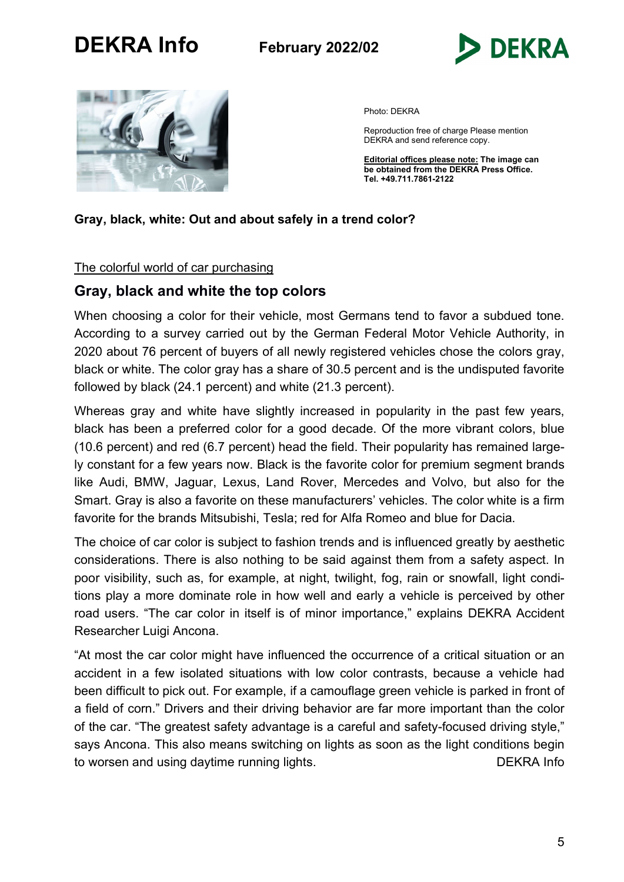



Photo: DEKRA

Reproduction free of charge Please mention DEKRA and send reference copy.

**Editorial offices please note: The image can** be obtained from the DEKRA Press Office. Tel. +49.711.7861-2122

### Gray, black, white: Out and about safely in a trend color?

#### The colorful world of car purchasing

# Gray, black and white the top colors

When choosing a color for their vehicle, most Germans tend to favor a subdued tone. According to a survey carried out by the German Federal Motor Vehicle Authority, in 2020 about 76 percent of buyers of all newly registered vehicles chose the colors gray, black or white. The color gray has a share of 30.5 percent and is the undisputed favorite followed by black (24.1 percent) and white (21.3 percent).

Whereas gray and white have slightly increased in popularity in the past few years, black has been a preferred color for a good decade. Of the more vibrant colors, blue (10.6 percent) and red (6.7 percent) head the field. Their popularity has remained largely constant for a few years now. Black is the favorite color for premium segment brands like Audi, BMW, Jaguar, Lexus, Land Rover, Mercedes and Volvo, but also for the Smart. Gray is also a favorite on these manufacturers' vehicles. The color white is a firm favorite for the brands Mitsubishi, Tesla; red for Alfa Romeo and blue for Dacia.

The choice of car color is subject to fashion trends and is influenced greatly by aesthetic considerations. There is also nothing to be said against them from a safety aspect. In poor visibility, such as, for example, at night, twilight, fog, rain or snowfall, light conditions play a more dominate role in how well and early a vehicle is perceived by other road users. "The car color in itself is of minor importance," explains DEKRA Accident Researcher Luigi Ancona.

"At most the car color might have influenced the occurrence of a critical situation or an accident in a few isolated situations with low color contrasts, because a vehicle had been difficult to pick out. For example, if a camouflage green vehicle is parked in front of a field of corn." Drivers and their driving behavior are far more important than the color of the car. "The greatest safety advantage is a careful and safety-focused driving style," says Ancona. This also means switching on lights as soon as the light conditions begin to worsen and using daytime running lights. The same state of the DEKRA Info